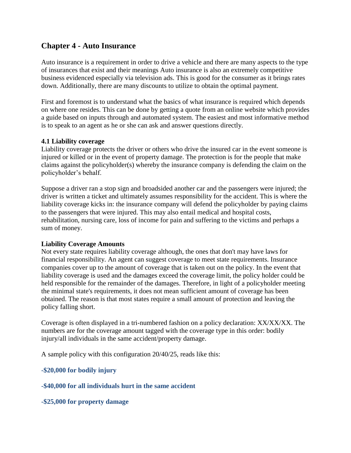# **Chapter 4 - Auto Insurance**

Auto insurance is a requirement in order to drive a vehicle and there are many aspects to the type of insurances that exist and their meanings Auto insurance is also an extremely competitive business evidenced especially via television ads. This is good for the consumer as it brings rates down. Additionally, there are many discounts to utilize to obtain the optimal payment.

First and foremost is to understand what the basics of what insurance is required which depends on where one resides. This can be done by getting a quote from an online website which provides a guide based on inputs through and automated system. The easiest and most informative method is to speak to an agent as he or she can ask and answer questions directly.

### **4.1 Liability coverage**

Liability coverage protects the driver or others who drive the insured car in the event someone is injured or killed or in the event of property damage. The protection is for the people that make claims against the policyholder(s) whereby the insurance company is defending the claim on the policyholder's behalf.

Suppose a driver ran a stop sign and broadsided another car and the passengers were injured; the driver is written a ticket and ultimately assumes responsibility for the accident. This is where the liability coverage kicks in: the insurance company will defend the policyholder by paying claims to the passengers that were injured. This may also entail medical and hospital costs, rehabilitation, nursing care, loss of income for pain and suffering to the victims and perhaps a sum of money.

## **Liability Coverage Amounts**

Not every state requires liability coverage although, the ones that don't may have laws for financial responsibility. An agent can suggest coverage to meet state requirements. Insurance companies cover up to the amount of coverage that is taken out on the policy. In the event that liability coverage is used and the damages exceed the coverage limit, the policy holder could be held responsible for the remainder of the damages. Therefore, in light of a policyholder meeting the minimal state's requirements, it does not mean sufficient amount of coverage has been obtained. The reason is that most states require a small amount of protection and leaving the policy falling short.

Coverage is often displayed in a tri-numbered fashion on a policy declaration: XX/XX/XX. The numbers are for the coverage amount tagged with the coverage type in this order: bodily injury/all individuals in the same accident/property damage.

A sample policy with this configuration 20/40/25, reads like this:

## **-\$20,000 for bodily injury**

**-\$40,000 for all individuals hurt in the same accident**

**-\$25,000 for property damage**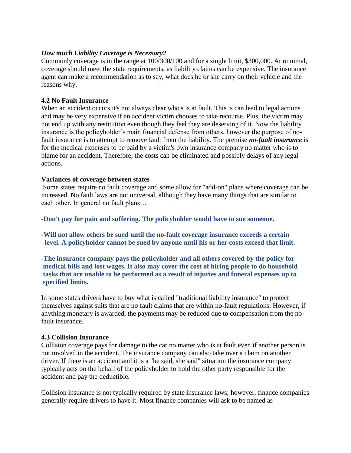## *How much Liability Coverage is Necessary?*

Commonly coverage is in the range at 100/300/100 and for a single limit, \$300,000. At minimal, coverage should meet the state requirements, as liability claims can be expensive. The insurance agent can make a recommendation as to say, what does he or she carry on their vehicle and the reasons why.

## **4.2 No Fault Insurance**

When an accident occurs it's not always clear who's is at fault. This is can lead to legal actions and may be very expensive if an accident victim chooses to take recourse. Plus, the victim may not end up with any restitution even though they feel they are deserving of it. Now the liability insurance is the policyholder's main financial defense from others, however the purpose of nofault insurance is to attempt to remove fault from the liability. The premise *no-fault insurance* is for the medical expenses to be paid by a victim's own insurance company no matter who is to blame for an accident. Therefore, the costs can be eliminated and possibly delays of any legal actions.

## **Variances of coverage between states**

Some states require no fault coverage and some allow for "add-on" plans where coverage can be increased. No fault laws are not universal, although they have many things that are similar to each other. In general no fault plans…

**-Don't pay for pain and suffering. The policyholder would have to sue someone.**

**-Will not allow others be sued until the no-fault coverage insurance exceeds a certain level. A policyholder cannot be sued by anyone until his or her costs exceed that limit.**

**-The insurance company pays the policyholder and all others covered by the policy for medical bills and lost wages. It also may cover the cost of hiring people to do household tasks that are unable to be performed as a result of injuries and funeral expenses up to specified limits.**

In some states drivers have to buy what is called "traditional liability insurance" to protect themselves against suits that are no fault claims that are within no-fault regulations. However, if anything monetary is awarded, the payments may be reduced due to compensation from the nofault insurance.

### **4.3 Collision Insurance**

Collision coverage pays for damage to the car no matter who is at fault even if another person is not involved in the accident. The insurance company can also take over a claim on another driver. If there is an accident and it is a "he said, she said" situation the insurance company typically acts on the behalf of the policyholder to hold the other party responsible for the accident and pay the deductible.

Collision insurance is not typically required by state insurance laws; however, finance companies generally require drivers to have it. Most finance companies will ask to be named as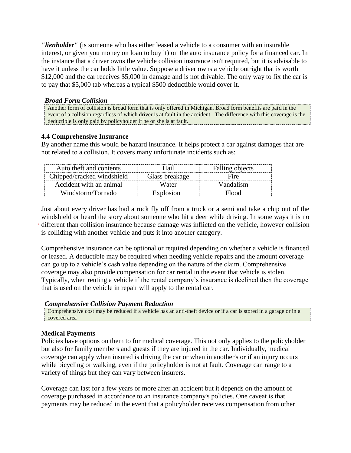*"lienholder"* (is someone who has either leased a vehicle to a consumer with an insurable interest, or given you money on loan to buy it) on the auto insurance policy for a financed car. In the instance that a driver owns the vehicle collision insurance isn't required, but it is advisable to have it unless the car holds little value. Suppose a driver owns a vehicle outright that is worth \$12,000 and the car receives \$5,000 in damage and is not drivable. The only way to fix the car is to pay that \$5,000 tab whereas a typical \$500 deductible would cover it.

#### *Broad Form Collision*

Another form of collision is broad form that is only offered in Michigan. Broad form benefits are paid in the event of a collision regardless of which driver is at fault in the accident. The difference with this coverage is the deductible is only paid by policyholder if he or she is at fault.

### **4.4 Comprehensive Insurance**

By another name this would be hazard insurance. It helps protect a car against damages that are not related to a collision. It covers many unfortunate incidents such as:

| Auto theft and contents    | Hail           | Falling objects |
|----------------------------|----------------|-----------------|
| Chipped/cracked windshield | Glass breakage | Fire            |
| Accident with an animal    | Water          | Vandalism       |
| Windstorm/Tornado          | Explosion      | Flood           |

Just about every driver has had a rock fly off from a truck or a semi and take a chip out of the windshield or heard the story about someone who hit a deer while driving. In some ways it is no different than collision insurance because damage was inflicted on the vehicle, however collision is colliding with another vehicle and puts it into another category.

Comprehensive insurance can be optional or required depending on whether a vehicle is financed or leased. A deductible may be required when needing vehicle repairs and the amount coverage can go up to a vehicle's cash value depending on the nature of the claim. Comprehensive coverage may also provide compensation for car rental in the event that vehicle is stolen. Typically, when renting a vehicle if the rental company's insurance is declined then the coverage that is used on the vehicle in repair will apply to the rental car.

### *Comprehensive Collision Payment Reduction*

Comprehensive cost may be reduced if a vehicle has an anti-theft device or if a car is stored in a garage or in a covered area

### **Medical Payments**

Policies have options on them to for medical coverage. This not only applies to the policyholder but also for family members and guests if they are injured in the car. Individually, medical coverage can apply when insured is driving the car or when in another's or if an injury occurs while bicycling or walking, even if the policyholder is not at fault. Coverage can range to a variety of things but they can vary between insurers.

Coverage can last for a few years or more after an accident but it depends on the amount of coverage purchased in accordance to an insurance company's policies. One caveat is that payments may be reduced in the event that a policyholder receives compensation from other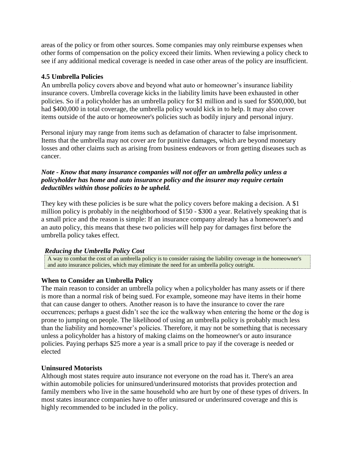areas of the policy or from other sources. Some companies may only reimburse expenses when other forms of compensation on the policy exceed their limits. When reviewing a policy check to see if any additional medical coverage is needed in case other areas of the policy are insufficient.

## **4.5 Umbrella Policies**

An umbrella policy covers above and beyond what auto or homeowner's insurance liability insurance covers. Umbrella coverage kicks in the liability limits have been exhausted in other policies. So if a policyholder has an umbrella policy for \$1 million and is sued for \$500,000, but had \$400,000 in total coverage, the umbrella policy would kick in to help. It may also cover items outside of the auto or homeowner's policies such as bodily injury and personal injury.

Personal injury may range from items such as defamation of character to false imprisonment. Items that the umbrella may not cover are for punitive damages, which are beyond monetary losses and other claims such as arising from business endeavors or from getting diseases such as cancer.

## *Note - Know that many insurance companies will not offer an umbrella policy unless a policyholder has home and auto insurance policy and the insurer may require certain deductibles within those policies to be upheld.*

They key with these policies is be sure what the policy covers before making a decision. A  $$1$ million policy is probably in the neighborhood of \$150 - \$300 a year. Relatively speaking that is a small price and the reason is simple: If an insurance company already has a homeowner's and an auto policy, this means that these two policies will help pay for damages first before the umbrella policy takes effect.

## *Reducing the Umbrella Policy Cost*

A way to combat the cost of an umbrella policy is to consider raising the liability coverage in the homeowner's and auto insurance policies, which may eliminate the need for an umbrella policy outright.

## **When to Consider an Umbrella Policy**

The main reason to consider an umbrella policy when a policyholder has many assets or if there is more than a normal risk of being sued. For example, someone may have items in their home that can cause danger to others. Another reason is to have the insurance to cover the rare occurrences; perhaps a guest didn't see the ice the walkway when entering the home or the dog is prone to jumping on people. The likelihood of using an umbrella policy is probably much less than the liability and homeowner's policies. Therefore, it may not be something that is necessary unless a policyholder has a history of making claims on the homeowner's or auto insurance policies. Paying perhaps \$25 more a year is a small price to pay if the coverage is needed or elected

## **Uninsured Motorists**

Although most states require auto insurance not everyone on the road has it. There's an area within automobile policies for uninsured/underinsured motorists that provides protection and family members who live in the same household who are hurt by one of these types of drivers. In most states insurance companies have to offer uninsured or underinsured coverage and this is highly recommended to be included in the policy.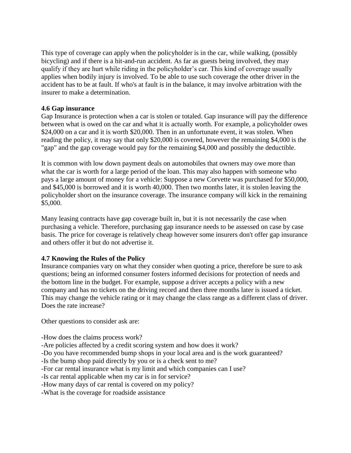This type of coverage can apply when the policyholder is in the car, while walking, (possibly bicycling) and if there is a hit-and-run accident. As far as guests being involved, they may qualify if they are hurt while riding in the policyholder's car. This kind of coverage usually applies when bodily injury is involved. To be able to use such coverage the other driver in the accident has to be at fault. If who's at fault is in the balance, it may involve arbitration with the insurer to make a determination.

### **4.6 Gap insurance**

Gap Insurance is protection when a car is stolen or totaled. Gap insurance will pay the difference between what is owed on the car and what it is actually worth. For example, a policyholder owes \$24,000 on a car and it is worth \$20,000. Then in an unfortunate event, it was stolen. When reading the policy, it may say that only \$20,000 is covered, however the remaining \$4,000 is the "gap" and the gap coverage would pay for the remaining \$4,000 and possibly the deductible.

It is common with low down payment deals on automobiles that owners may owe more than what the car is worth for a large period of the loan. This may also happen with someone who pays a large amount of money for a vehicle: Suppose a new Corvette was purchased for \$50,000, and \$45,000 is borrowed and it is worth 40,000. Then two months later, it is stolen leaving the policyholder short on the insurance coverage. The insurance company will kick in the remaining \$5,000.

Many leasing contracts have gap coverage built in, but it is not necessarily the case when purchasing a vehicle. Therefore, purchasing gap insurance needs to be assessed on case by case basis. The price for coverage is relatively cheap however some insurers don't offer gap insurance and others offer it but do not advertise it.

### **4.7 Knowing the Rules of the Policy**

Insurance companies vary on what they consider when quoting a price, therefore be sure to ask questions; being an informed consumer fosters informed decisions for protection of needs and the bottom line in the budget. For example, suppose a driver accepts a policy with a new company and has no tickets on the driving record and then three months later is issued a ticket. This may change the vehicle rating or it may change the class range as a different class of driver. Does the rate increase?

Other questions to consider ask are:

-How does the claims process work?

-Are policies affected by a credit scoring system and how does it work?

-Do you have recommended bump shops in your local area and is the work guaranteed?

-Is the bump shop paid directly by you or is a check sent to me?

-For car rental insurance what is my limit and which companies can I use?

-Is car rental applicable when my car is in for service?

-How many days of car rental is covered on my policy?

**-**What is the coverage for roadside assistance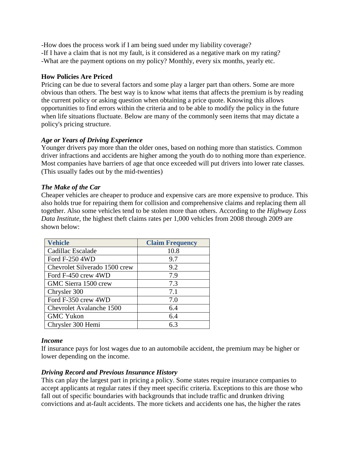-How does the process work if I am being sued under my liability coverage? -If I have a claim that is not my fault, is it considered as a negative mark on my rating? -What are the payment options on my policy? Monthly, every six months, yearly etc.

## **How Policies Are Priced**

Pricing can be due to several factors and some play a larger part than others. Some are more obvious than others. The best way is to know what items that affects the premium is by reading the current policy or asking question when obtaining a price quote. Knowing this allows opportunities to find errors within the criteria and to be able to modify the policy in the future when life situations fluctuate. Below are many of the commonly seen items that may dictate a policy's pricing structure.

## *Age or Years of Driving Experience*

Younger drivers pay more than the older ones, based on nothing more than statistics. Common driver infractions and accidents are higher among the youth do to nothing more than experience. Most companies have barriers of age that once exceeded will put drivers into lower rate classes. (This usually fades out by the mid-twenties)

## *The Make of the Car*

Cheaper vehicles are cheaper to produce and expensive cars are more expensive to produce. This also holds true for repairing them for collision and comprehensive claims and replacing them all together. Also some vehicles tend to be stolen more than others. According to the *Highway Loss Data Institute*, the highest theft claims rates per 1,000 vehicles from 2008 through 2009 are shown below:

| <b>Vehicle</b>                | <b>Claim Frequency</b> |
|-------------------------------|------------------------|
| Cadillac Escalade             | 10.8                   |
| Ford F-250 4WD                | 9.7                    |
| Chevrolet Silverado 1500 crew | 9.2                    |
| Ford F-450 crew 4WD           | 7.9                    |
| GMC Sierra 1500 crew          | 7.3                    |
| Chrysler 300                  | 7.1                    |
| Ford F-350 crew 4WD           | 7.0                    |
| Chevrolet Avalanche 1500      | 6.4                    |
| <b>GMC Yukon</b>              | 6.4                    |
| Chrysler 300 Hemi             | 6.3                    |

### *Income*

If insurance pays for lost wages due to an automobile accident, the premium may be higher or lower depending on the income.

### *Driving Record and Previous Insurance History*

This can play the largest part in pricing a policy. Some states require insurance companies to accept applicants at regular rates if they meet specific criteria. Exceptions to this are those who fall out of specific boundaries with backgrounds that include traffic and drunken driving convictions and at-fault accidents. The more tickets and accidents one has, the higher the rates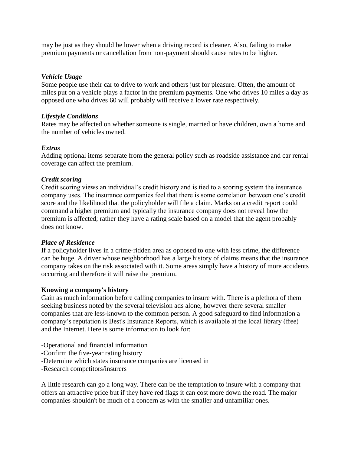may be just as they should be lower when a driving record is cleaner. Also, failing to make premium payments or cancellation from non-payment should cause rates to be higher.

## *Vehicle Usage*

Some people use their car to drive to work and others just for pleasure. Often, the amount of miles put on a vehicle plays a factor in the premium payments. One who drives 10 miles a day as opposed one who drives 60 will probably will receive a lower rate respectively.

## *Lifestyle Conditions*

Rates may be affected on whether someone is single, married or have children, own a home and the number of vehicles owned.

## *Extras*

Adding optional items separate from the general policy such as roadside assistance and car rental coverage can affect the premium.

## *Credit scoring*

Credit scoring views an individual's credit history and is tied to a scoring system the insurance company uses. The insurance companies feel that there is some correlation between one's credit score and the likelihood that the policyholder will file a claim. Marks on a credit report could command a higher premium and typically the insurance company does not reveal how the premium is affected; rather they have a rating scale based on a model that the agent probably does not know.

### *Place of Residence*

If a policyholder lives in a crime-ridden area as opposed to one with less crime, the difference can be huge. A driver whose neighborhood has a large history of claims means that the insurance company takes on the risk associated with it. Some areas simply have a history of more accidents occurring and therefore it will raise the premium.

### **Knowing a company's history**

Gain as much information before calling companies to insure with. There is a plethora of them seeking business noted by the several television ads alone, however there several smaller companies that are less-known to the common person. A good safeguard to find information a company's reputation is Best's Insurance Reports, which is available at the local library (free) and the Internet. Here is some information to look for:

- -Operational and financial information
- -Confirm the five-year rating history
- -Determine which states insurance companies are licensed in
- -Research competitors/insurers

A little research can go a long way. There can be the temptation to insure with a company that offers an attractive price but if they have red flags it can cost more down the road. The major companies shouldn't be much of a concern as with the smaller and unfamiliar ones.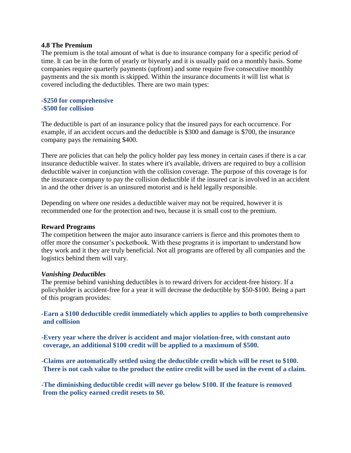#### **4.8 The Premium**

The premium is the total amount of what is due to insurance company for a specific period of time. It can be in the form of yearly or biyearly and it is usually paid on a monthly basis. Some companies require quarterly payments (upfront) and some require five consecutive monthly payments and the six month is skipped. Within the insurance documents it will list what is covered including the deductibles. There are two main types:

### **-\$250 for comprehensive -\$500 for collision**

The deductible is part of an insurance policy that the insured pays for each occurrence. For example, if an accident occurs and the deductible is \$300 and damage is \$700, the insurance company pays the remaining \$400.

There are policies that can help the policy holder pay less money in certain cases if there is a car insurance deductible waiver. In states where it's available, drivers are required to buy a collision deductible waiver in conjunction with the collision coverage. The purpose of this coverage is for the insurance company to pay the collision deductible if the insured car is involved in an accident in and the other driver is an uninsured motorist and is held legally responsible.

Depending on where one resides a deductible waiver may not be required, however it is recommended one for the protection and two, because it is small cost to the premium.

### **Reward Programs**

The competition between the major auto insurance carriers is fierce and this promotes them to offer more the consumer's pocketbook. With these programs it is important to understand how they work and it they are truly beneficial. Not all programs are offered by all companies and the logistics behind them will vary.

### *Vanishing Deductibles*

The premise behind vanishing deductibles is to reward drivers for accident-free history. If a policyholder is accident-free for a year it will decrease the deductible by \$50-\$100. Being a part of this program provides:

**-Earn a \$100 deductible credit immediately which applies to applies to both comprehensive and collision** 

**-Every year where the driver is accident and major violation-free, with constant auto coverage, an additional \$100 credit will be applied to a maximum of \$500.**

**-Claims are automatically settled using the deductible credit which will be reset to \$100. There is not cash value to the product the entire credit will be used in the event of a claim.** 

**-The diminishing deductible credit will never go below \$100. If the feature is removed from the policy earned credit resets to \$0.**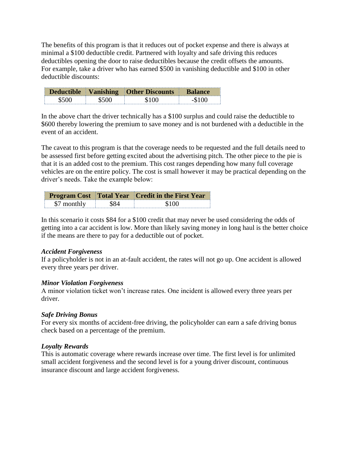The benefits of this program is that it reduces out of pocket expense and there is always at minimal a \$100 deductible credit. Partnered with loyalty and safe driving this reduces deductibles opening the door to raise deductibles because the credit offsets the amounts. For example, take a driver who has earned \$500 in vanishing deductible and \$100 in other deductible discounts:

| <b>Deductible</b><br>Vanishing |  | <b>Other Discounts</b>                    | Balance |  |
|--------------------------------|--|-------------------------------------------|---------|--|
|                                |  | --------------------- <del>-</del> ------ |         |  |

In the above chart the driver technically has a \$100 surplus and could raise the deductible to \$600 thereby lowering the premium to save money and is not burdened with a deductible in the event of an accident.

The caveat to this program is that the coverage needs to be requested and the full details need to be assessed first before getting excited about the advertising pitch. The other piece to the pie is that it is an added cost to the premium. This cost ranges depending how many full coverage vehicles are on the entire policy. The cost is small however it may be practical depending on the driver's needs. Take the example below:

|             | <b>Program Cost</b> Total Year Credit in the First Year |  |  |
|-------------|---------------------------------------------------------|--|--|
| \$7 monthly |                                                         |  |  |

In this scenario it costs \$84 for a \$100 credit that may never be used considering the odds of getting into a car accident is low. More than likely saving money in long haul is the better choice if the means are there to pay for a deductible out of pocket.

## *Accident Forgiveness*

If a policyholder is not in an at-fault accident, the rates will not go up. One accident is allowed every three years per driver.

## *Minor Violation Forgiveness*

A minor violation ticket won't increase rates. One incident is allowed every three years per driver.

## *Safe Driving Bonus*

For every six months of accident-free driving, the policyholder can earn a safe driving bonus check based on a percentage of the premium.

## *Loyalty Rewards*

This is automatic coverage where rewards increase over time. The first level is for unlimited small accident forgiveness and the second level is for a young driver discount, continuous insurance discount and large accident forgiveness.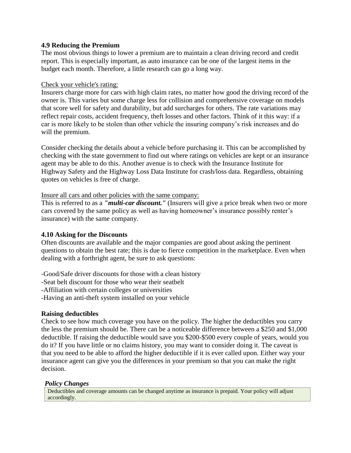### **4.9 Reducing the Premium**

The most obvious things to lower a premium are to maintain a clean driving record and credit report. This is especially important, as auto insurance can be one of the largest items in the budget each month. Therefore, a little research can go a long way.

## Check your vehicle's rating:

Insurers charge more for cars with high claim rates, no matter how good the driving record of the owner is. This varies but some charge less for collision and comprehensive coverage on models that score well for safety and durability, but add surcharges for others. The rate variations may reflect repair costs, accident frequency, theft losses and other factors. Think of it this way: if a car is more likely to be stolen than other vehicle the insuring company's risk increases and do will the premium.

Consider checking the details about a vehicle before purchasing it. This can be accomplished by checking with the state government to find out where ratings on vehicles are kept or an insurance agent may be able to do this. Another avenue is to check with the Insurance Institute for Highway Safety and the Highway Loss Data Institute for crash/loss data. Regardless, obtaining quotes on vehicles is free of charge.

## Insure all cars and other policies with the same company:

This is referred to as a *"multi-car discount."* (Insurers will give a price break when two or more cars covered by the same policy as well as having homeowner's insurance possibly renter's insurance) with the same company.

## **4.10 Asking for the Discounts**

Often discounts are available and the major companies are good about asking the pertinent questions to obtain the best rate; this is due to fierce competition in the marketplace. Even when dealing with a forthright agent, be sure to ask questions:

-Good/Safe driver discounts for those with a clean history

-Seat belt discount for those who wear their seatbelt

-Affiliation with certain colleges or universities

-Having an anti-theft system installed on your vehicle

## **Raising deductibles**

Check to see how much coverage you have on the policy. The higher the deductibles you carry the less the premium should be. There can be a noticeable difference between a \$250 and \$1,000 deductible. If raising the deductible would save you \$200-\$500 every couple of years, would you do it? If you have little or no claims history, you may want to consider doing it. The caveat is that you need to be able to afford the higher deductible if it is ever called upon. Either way your insurance agent can give you the differences in your premium so that you can make the right decision.

### *Policy Changes*

Deductibles and coverage amounts can be changed anytime as insurance is prepaid. Your policy will adjust accordingly.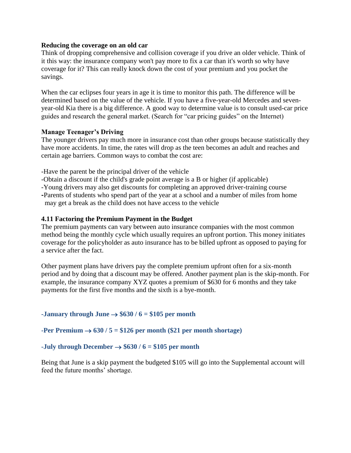#### **Reducing the coverage on an old car**

Think of dropping comprehensive and collision coverage if you drive an older vehicle. Think of it this way: the insurance company won't pay more to fix a car than it's worth so why have coverage for it? This can really knock down the cost of your premium and you pocket the savings.

When the car eclipses four years in age it is time to monitor this path. The difference will be determined based on the value of the vehicle. If you have a five-year-old Mercedes and sevenyear-old Kia there is a big difference. A good way to determine value is to consult used-car price guides and research the general market. (Search for "car pricing guides" on the Internet)

### **Manage Teenager's Driving**

The younger drivers pay much more in insurance cost than other groups because statistically they have more accidents. In time, the rates will drop as the teen becomes an adult and reaches and certain age barriers. Common ways to combat the cost are:

-Have the parent be the principal driver of the vehicle

- -Obtain a discount if the child's grade point average is a B or higher (if applicable)
- -Young drivers may also get discounts for completing an approved driver-training course
- **-**Parents of students who spend part of the year at a school and a number of miles from home may get a break as the child does not have access to the vehicle

### **4.11 Factoring the Premium Payment in the Budget**

The premium payments can vary between auto insurance companies with the most common method being the monthly cycle which usually requires an upfront portion. This money initiates coverage for the policyholder as auto insurance has to be billed upfront as opposed to paying for a service after the fact.

Other payment plans have drivers pay the complete premium upfront often for a six-month period and by doing that a discount may be offered. Another payment plan is the skip-month. For example, the insurance company XYZ quotes a premium of \$630 for 6 months and they take payments for the first five months and the sixth is a bye-month.

### **-January through June**  $\rightarrow$  **\$630 / 6 = \$105 per month**

### **-Per Premium**  $\rightarrow$  **630 / 5 = \$126 per month (\$21 per month shortage)**

### **-July through December**  $\rightarrow$  **\$630 / 6 = \$105 per month**

Being that June is a skip payment the budgeted \$105 will go into the Supplemental account will feed the future months' shortage.